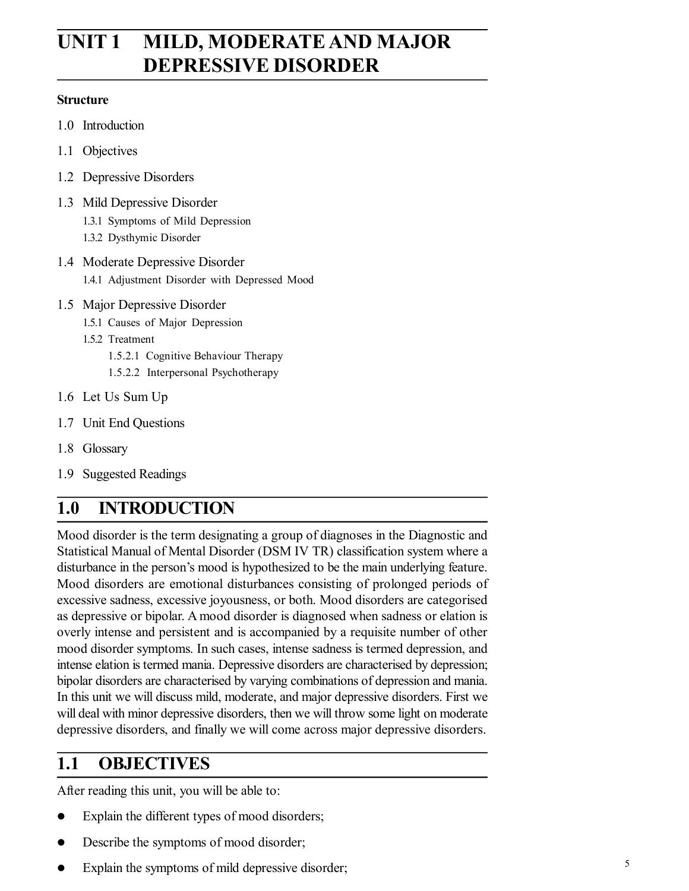# **UNIT 1 MILD, MODERATE AND MAJOR DEPRESSIVE DISORDER**

#### **Structure**

- 1.0 Introduction
- 1.1 Objectives
- 1.2 Depressive Disorders
- 1.3 Mild Depressive Disorder
	- 1.3.1 Symptoms of Mild Depression
	- 1.3.2 Dysthymic Disorder
- 1.4 Moderate Depressive Disorder
	- 1.4.1 Adjustment Disorder with Depressed Mood
- 1.5 Major Depressive Disorder
	- 1.5.1 Causes of Major Depression
	- 1.5.2 Treatment
		- 1.5.2.1 Cognitive Behaviour Therapy
		- 1.5.2.2 Interpersonal Psychotherapy
- 1.6 Let Us Sum Up
- 1.7 Unit End Questions
- 1.8 Glossary
- 1.9 Suggested Readings

# **1.0 INTRODUCTION**

Mood disorder is the term designating a group of diagnoses in the Diagnostic and Statistical Manual of Mental Disorder (DSM IV TR) classification system where a disturbance in the person's mood is hypothesized to be the main underlying feature. Mood disorders are emotional disturbances consisting of prolonged periods of excessive sadness, excessive joyousness, or both. Mood disorders are categorised as depressive or bipolar. A mood disorder is diagnosed when sadness or elation is overly intense and persistent and is accompanied by a requisite number of other mood disorder symptoms. In such cases, intense sadness is termed depression, and intense elation is termed mania. Depressive disorders are characterised by depression; bipolar disorders are characterised by varying combinations of depression and mania. In this unit we will discuss mild, moderate, and major depressive disorders. First we will deal with minor depressive disorders, then we will throw some light on moderate depressive disorders, and finally we will come across major depressive disorders.

## **1.1 OBJECTIVES**

After reading this unit, you will be able to:

- Explain the different types of mood disorders;
- Describe the symptoms of mood disorder;
- Explain the symptoms of mild depressive disorder;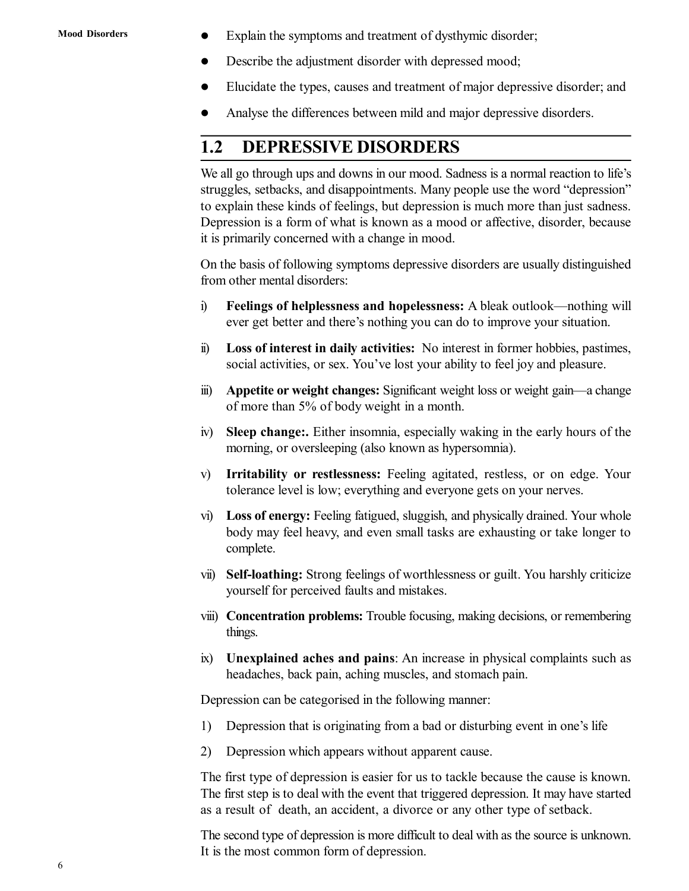- Explain the symptoms and treatment of dysthymic disorder;
- Describe the adjustment disorder with depressed mood;
- Elucidate the types, causes and treatment of major depressive disorder; and
- Analyse the differences between mild and major depressive disorders.

## **1.2 DEPRESSIVE DISORDERS**

We all go through ups and downs in our mood. Sadness is a normal reaction to life's struggles, setbacks, and disappointments. Many people use the word "depression" to explain these kinds of feelings, but depression is much more than just sadness. Depression is a form of what is known as a mood or affective, disorder, because it is primarily concerned with a change in mood.

On the basis of following symptoms depressive disorders are usually distinguished from other mental disorders:

- i) **Feelings of helplessness and hopelessness:** A bleak outlook—nothing will ever get better and there's nothing you can do to improve your situation.
- ii) **Loss of interest in daily activities:** No interest in former hobbies, pastimes, social activities, or sex. You've lost your ability to feel joy and pleasure.
- iii) **Appetite or weight changes:** Significant weight loss or weight gain—a change of more than 5% of body weight in a month.
- iv) **Sleep change:.** Either insomnia, especially waking in the early hours of the morning, or oversleeping (also known as hypersomnia).
- v) **Irritability or restlessness:** Feeling agitated, restless, or on edge. Your tolerance level is low; everything and everyone gets on your nerves.
- vi) **Loss of energy:** Feeling fatigued, sluggish, and physically drained. Your whole body may feel heavy, and even small tasks are exhausting or take longer to complete.
- vii) **Self-loathing:** Strong feelings of worthlessness or guilt. You harshly criticize yourself for perceived faults and mistakes.
- viii) **Concentration problems:** Trouble focusing, making decisions, or remembering things.
- ix) **Unexplained aches and pains**: An increase in physical complaints such as headaches, back pain, aching muscles, and stomach pain.

Depression can be categorised in the following manner:

- 1) Depression that is originating from a bad or disturbing event in one's life
- 2) Depression which appears without apparent cause.

The first type of depression is easier for us to tackle because the cause is known. The first step is to deal with the event that triggered depression. It may have started as a result of death, an accident, a divorce or any other type of setback.

The second type of depression is more difficult to deal with as the source is unknown. It is the most common form of depression.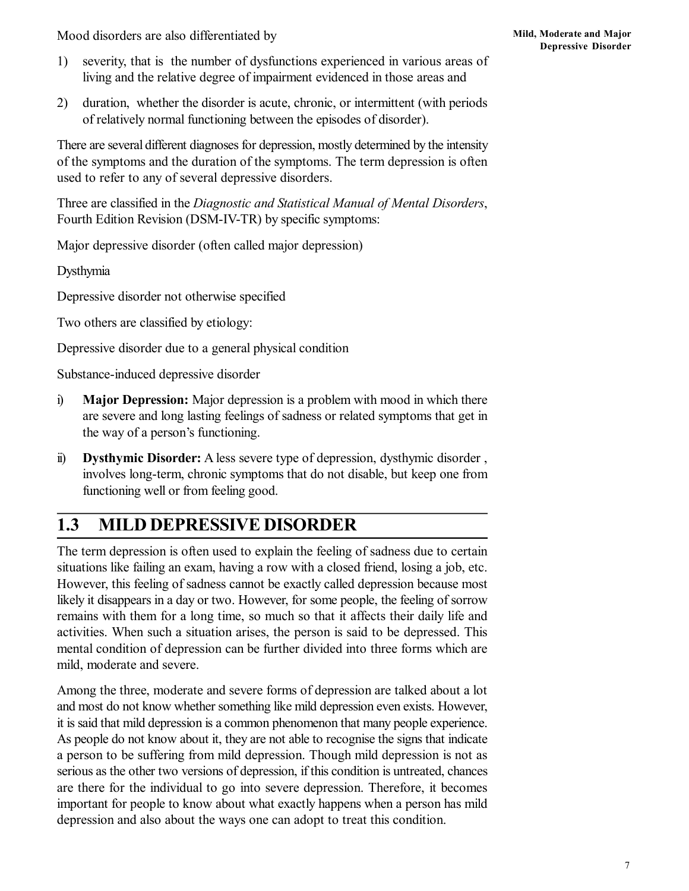Mood disorders are also differentiated by

- 1) severity, that is the number of dysfunctions experienced in various areas of living and the relative degree of impairment evidenced in those areas and
- 2) duration, whether the disorder is acute, chronic, or intermittent (with periods of relatively normal functioning between the episodes of disorder).

There are several different diagnoses for depression, mostly determined by the intensity of the symptoms and the duration of the symptoms. The term depression is often used to refer to any of several depressive disorders.

Three are classified in the *Diagnostic and Statistical Manual of Mental Disorders*, Fourth Edition Revision (DSM-IV-TR) by specific symptoms:

Major depressive disorder (often called major depression)

Dysthymia

Depressive disorder not otherwise specified

Two others are classified by etiology:

Depressive disorder due to a general physical condition

Substance-induced depressive disorder

- i) **Major Depression:** Major depression is a problem with mood in which there are severe and long lasting feelings of sadness or related symptoms that get in the way of a person's functioning.
- ii) **Dysthymic Disorder:** A less severe type of depression, dysthymic disorder , involves long-term, chronic symptoms that do not disable, but keep one from functioning well or from feeling good.

## **1.3 MILD DEPRESSIVE DISORDER**

The term depression is often used to explain the feeling of sadness due to certain situations like failing an exam, having a row with a closed friend, losing a job, etc. However, this feeling of sadness cannot be exactly called depression because most likely it disappears in a day or two. However, for some people, the feeling of sorrow remains with them for a long time, so much so that it affects their daily life and activities. When such a situation arises, the person is said to be depressed. This mental condition of depression can be further divided into three forms which are mild, moderate and severe.

Among the three, moderate and severe forms of depression are talked about a lot and most do not know whether something like mild depression even exists. However, it is said that mild depression is a common phenomenon that many people experience. As people do not know about it, they are not able to recognise the signs that indicate a person to be suffering from mild depression. Though mild depression is not as serious as the other two versions of depression, if this condition is untreated, chances are there for the individual to go into severe depression. Therefore, it becomes important for people to know about what exactly happens when a person has mild depression and also about the ways one can adopt to treat this condition.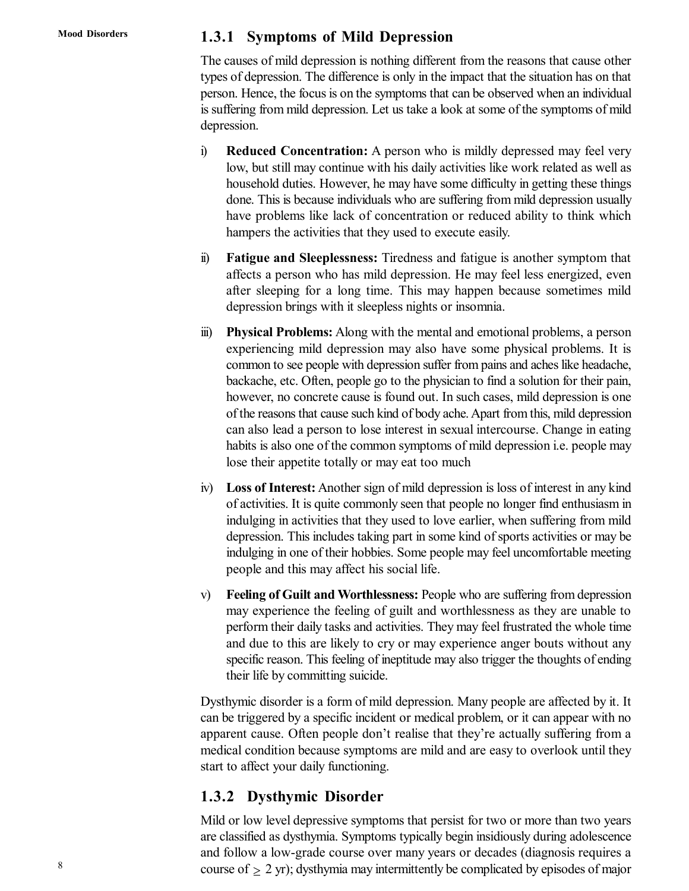#### **1.3.1 Symptoms of Mild Depression**

The causes of mild depression is nothing different from the reasons that cause other types of depression. The difference is only in the impact that the situation has on that person. Hence, the focus is on the symptoms that can be observed when an individual is suffering from mild depression. Let us take a look at some of the symptoms of mild depression.

- i) **Reduced Concentration:** A person who is mildly depressed may feel very low, but still may continue with his daily activities like work related as well as household duties. However, he may have some difficulty in getting these things done. This is because individuals who are suffering from mild depression usually have problems like lack of concentration or reduced ability to think which hampers the activities that they used to execute easily.
- ii) **Fatigue and Sleeplessness:** Tiredness and fatigue is another symptom that affects a person who has mild depression. He may feel less energized, even after sleeping for a long time. This may happen because sometimes mild depression brings with it sleepless nights or insomnia.
- iii) **Physical Problems:** Along with the mental and emotional problems, a person experiencing mild depression may also have some physical problems. It is common to see people with depression suffer from pains and aches like headache, backache, etc. Often, people go to the physician to find a solution for their pain, however, no concrete cause is found out. In such cases, mild depression is one of the reasons that cause such kind of body ache. Apart from this, mild depression can also lead a person to lose interest in sexual intercourse. Change in eating habits is also one of the common symptoms of mild depression i.e. people may lose their appetite totally or may eat too much
- iv) **Loss of Interest:** Another sign of mild depression is loss of interest in any kind of activities. It is quite commonly seen that people no longer find enthusiasm in indulging in activities that they used to love earlier, when suffering from mild depression. This includes taking part in some kind of sports activities or may be indulging in one of their hobbies. Some people may feel uncomfortable meeting people and this may affect his social life.
- v) **Feeling of Guilt and Worthlessness:** People who are suffering from depression may experience the feeling of guilt and worthlessness as they are unable to perform their daily tasks and activities. They may feel frustrated the whole time and due to this are likely to cry or may experience anger bouts without any specific reason. This feeling of ineptitude may also trigger the thoughts of ending their life by committing suicide.

Dysthymic disorder is a form of mild depression. Many people are affected by it. It can be triggered by a specific incident or medical problem, or it can appear with no apparent cause. Often people don't realise that they're actually suffering from a medical condition because symptoms are mild and are easy to overlook until they start to affect your daily functioning.

#### **1.3.2 Dysthymic Disorder**

Mild or low level depressive symptoms that persist for two or more than two years are classified as dysthymia. Symptoms typically begin insidiously during adolescence and follow a low-grade course over many years or decades (diagnosis requires a course of  $> 2$  yr); dysthymia may intermittently be complicated by episodes of major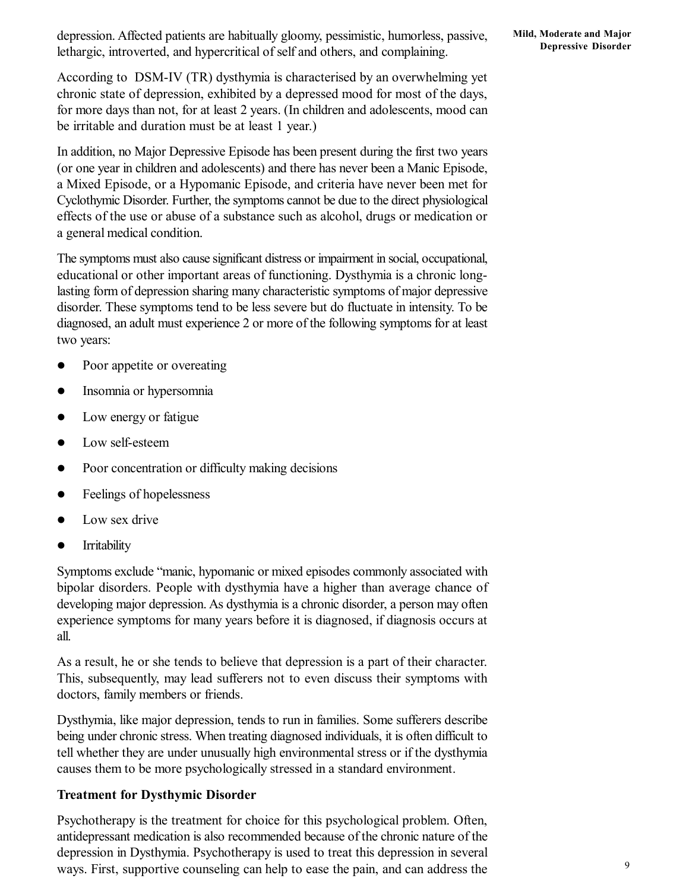depression. Affected patients are habitually gloomy, pessimistic, humorless, passive, lethargic, introverted, and hypercritical of self and others, and complaining.

According to DSM-IV (TR) dysthymia is characterised by an overwhelming yet chronic state of depression, exhibited by a depressed mood for most of the days, for more days than not, for at least 2 years. (In children and adolescents, mood can be irritable and duration must be at least 1 year.)

In addition, no Major Depressive Episode has been present during the first two years (or one year in children and adolescents) and there has never been a Manic Episode, a Mixed Episode, or a Hypomanic Episode, and criteria have never been met for Cyclothymic Disorder. Further, the symptoms cannot be due to the direct physiological effects of the use or abuse of a substance such as alcohol, drugs or medication or a general medical condition.

The symptoms must also cause significant distress or impairment in social, occupational, educational or other important areas of functioning. Dysthymia is a chronic longlasting form of depression sharing many characteristic symptoms of major depressive disorder. These symptoms tend to be less severe but do fluctuate in intensity. To be diagnosed, an adult must experience 2 or more of the following symptoms for at least two years:

- Poor appetite or overeating
- Insomnia or hypersomnia
- Low energy or fatigue
- Low self-esteem
- Poor concentration or difficulty making decisions
- Feelings of hopelessness
- Low sex drive
- **Irritability**

Symptoms exclude "manic, hypomanic or mixed episodes commonly associated with bipolar disorders. People with dysthymia have a higher than average chance of developing major depression. As dysthymia is a chronic disorder, a person may often experience symptoms for many years before it is diagnosed, if diagnosis occurs at all.

As a result, he or she tends to believe that depression is a part of their character. This, subsequently, may lead sufferers not to even discuss their symptoms with doctors, family members or friends.

Dysthymia, like major depression, tends to run in families. Some sufferers describe being under chronic stress. When treating diagnosed individuals, it is often difficult to tell whether they are under unusually high environmental stress or if the dysthymia causes them to be more psychologically stressed in a standard environment.

#### **Treatment for Dysthymic Disorder**

Psychotherapy is the treatment for choice for this psychological problem. Often, antidepressant medication is also recommended because of the chronic nature of the depression in Dysthymia. Psychotherapy is used to treat this depression in several ways. First, supportive counseling can help to ease the pain, and can address the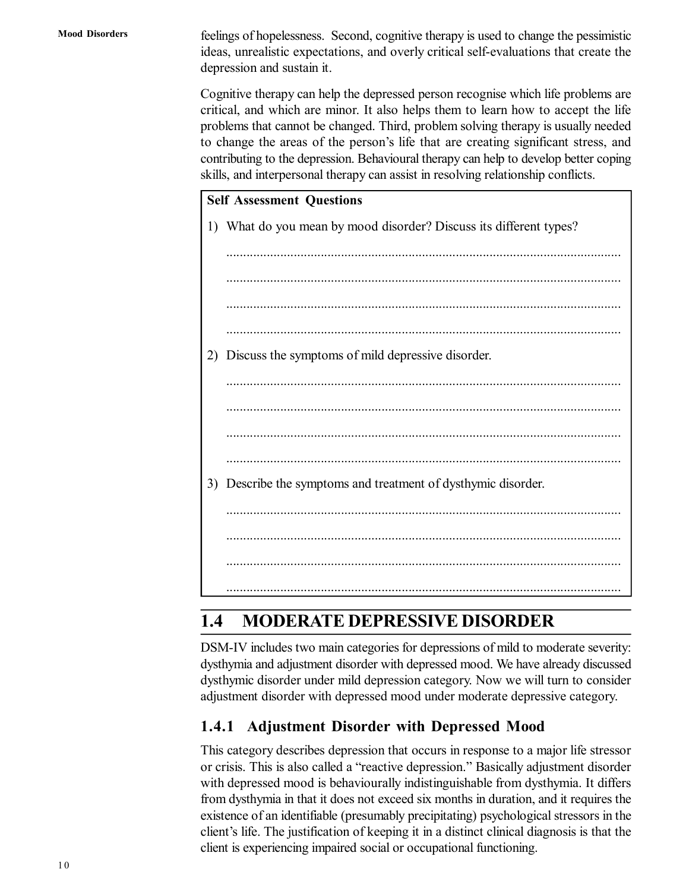**Mood Disorders**

feelings of hopelessness. Second, cognitive therapy is used to change the pessimistic ideas, unrealistic expectations, and overly critical self-evaluations that create the depression and sustain it.

Cognitive therapy can help the depressed person recognise which life problems are critical, and which are minor. It also helps them to learn how to accept the life problems that cannot be changed. Third, problem solving therapy is usually needed to change the areas of the person's life that are creating significant stress, and contributing to the depression. Behavioural therapy can help to develop better coping skills, and interpersonal therapy can assist in resolving relationship conflicts.



# **1.4 MODERATE DEPRESSIVE DISORDER**

DSM-IV includes two main categories for depressions of mild to moderate severity: dysthymia and adjustment disorder with depressed mood. We have already discussed dysthymic disorder under mild depression category. Now we will turn to consider adjustment disorder with depressed mood under moderate depressive category.

## **1.4.1 Adjustment Disorder with Depressed Mood**

This category describes depression that occurs in response to a major life stressor or crisis. This is also called a "reactive depression." Basically adjustment disorder with depressed mood is behaviourally indistinguishable from dysthymia. It differs from dysthymia in that it does not exceed six months in duration, and it requires the existence of an identifiable (presumably precipitating) psychological stressors in the client's life. The justification of keeping it in a distinct clinical diagnosis is that the client is experiencing impaired social or occupational functioning.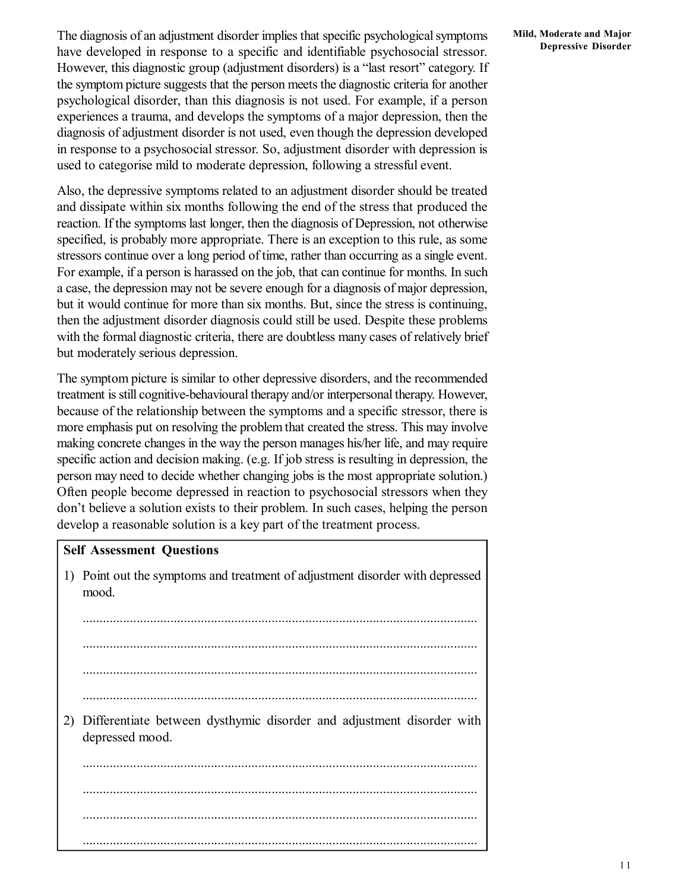Also, the depressive symptoms related to an adjustment disorder should be treated and dissipate within six months following the end of the stress that produced the reaction. If the symptoms last longer, then the diagnosis of Depression, not otherwise specified, is probably more appropriate. There is an exception to this rule, as some stressors continue over a long period of time, rather than occurring as a single event. For example, if a person is harassed on the job, that can continue for months. In such a case, the depression may not be severe enough for a diagnosis of major depression, but it would continue for more than six months. But, since the stress is continuing, then the adjustment disorder diagnosis could still be used. Despite these problems with the formal diagnostic criteria, there are doubtless many cases of relatively brief but moderately serious depression.

The symptom picture is similar to other depressive disorders, and the recommended treatment is still cognitive-behavioural therapy and/or interpersonal therapy. However, because of the relationship between the symptoms and a specific stressor, there is more emphasis put on resolving the problem that created the stress. This may involve making concrete changes in the way the person manages his/her life, and may require specific action and decision making. (e.g. If job stress is resulting in depression, the person may need to decide whether changing jobs is the most appropriate solution.) Often people become depressed in reaction to psychosocial stressors when they don't believe a solution exists to their problem. In such cases, helping the person develop a reasonable solution is a key part of the treatment process.

#### **Self Assessment Questions**

1) Point out the symptoms and treatment of adjustment disorder with depressed mood.

..................................................................................................................... ..................................................................................................................... ..................................................................................................................... ..................................................................................................................... 2) Differentiate between dysthymic disorder and adjustment disorder with depressed mood. ..................................................................................................................... ..................................................................................................................... ..................................................................................................................... .....................................................................................................................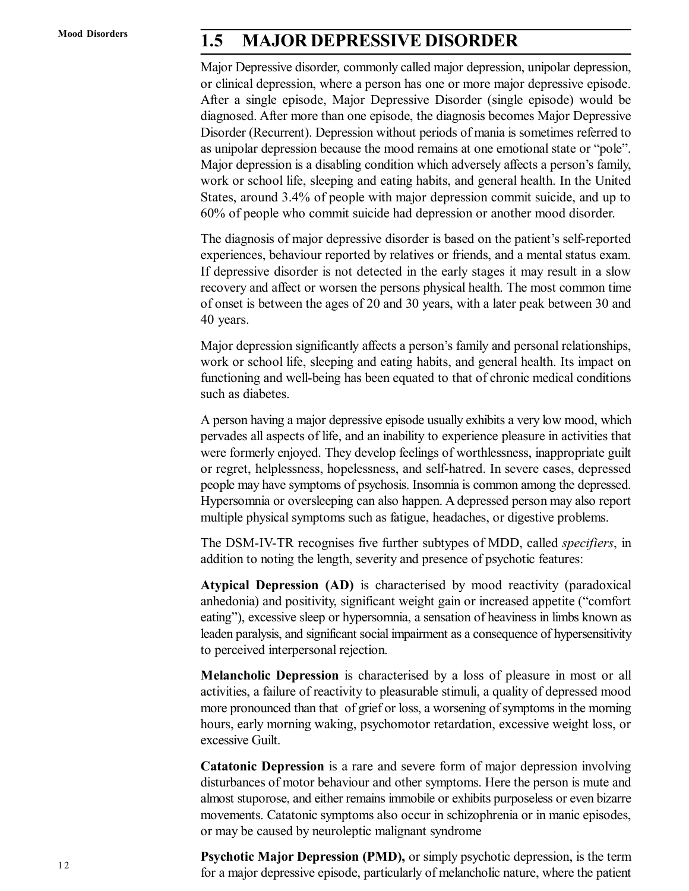## **1.5 MAJOR DEPRESSIVE DISORDER**

Major Depressive disorder, commonly called major depression, unipolar depression, or clinical depression, where a person has one or more major depressive episode. After a single episode, Major Depressive Disorder (single episode) would be diagnosed. After more than one episode, the diagnosis becomes Major Depressive Disorder (Recurrent). Depression without periods of mania is sometimes referred to as unipolar depression because the mood remains at one emotional state or "pole". Major depression is a disabling condition which adversely affects a person's family, work or school life, sleeping and eating habits, and general health. In the United States, around 3.4% of people with major depression commit suicide, and up to 60% of people who commit suicide had depression or another mood disorder.

The diagnosis of major depressive disorder is based on the patient's self-reported experiences, behaviour reported by relatives or friends, and a mental status exam. If depressive disorder is not detected in the early stages it may result in a slow recovery and affect or worsen the persons physical health. The most common time of onset is between the ages of 20 and 30 years, with a later peak between 30 and 40 years.

Major depression significantly affects a person's family and personal relationships, work or school life, sleeping and eating habits, and general health. Its impact on functioning and well-being has been equated to that of chronic medical conditions such as diabetes.

A person having a major depressive episode usually exhibits a very low mood, which pervades all aspects of life, and an inability to experience pleasure in activities that were formerly enjoyed. They develop feelings of worthlessness, inappropriate guilt or regret, helplessness, hopelessness, and self-hatred. In severe cases, depressed people may have symptoms of psychosis. Insomnia is common among the depressed. Hypersomnia or oversleeping can also happen. A depressed person may also report multiple physical symptoms such as fatigue, headaches, or digestive problems.

The DSM-IV-TR recognises five further subtypes of MDD, called *specifiers*, in addition to noting the length, severity and presence of psychotic features:

**Atypical Depression (AD)** is characterised by mood reactivity (paradoxical anhedonia) and positivity, significant weight gain or increased appetite ("comfort eating"), excessive sleep or hypersomnia, a sensation of heaviness in limbs known as leaden paralysis, and significant social impairment as a consequence of hypersensitivity to perceived interpersonal rejection.

**Melancholic Depression** is characterised by a loss of pleasure in most or all activities, a failure of reactivity to pleasurable stimuli, a quality of depressed mood more pronounced than that of grief or loss, a worsening of symptoms in the morning hours, early morning waking, psychomotor retardation, excessive weight loss, or excessive Guilt.

**Catatonic Depression** is a rare and severe form of major depression involving disturbances of motor behaviour and other symptoms. Here the person is mute and almost stuporose, and either remains immobile or exhibits purposeless or even bizarre movements. Catatonic symptoms also occur in schizophrenia or in manic episodes, or may be caused by neuroleptic malignant syndrome

**Psychotic Major Depression (PMD),** or simply psychotic depression, is the term for a major depressive episode, particularly of melancholic nature, where the patient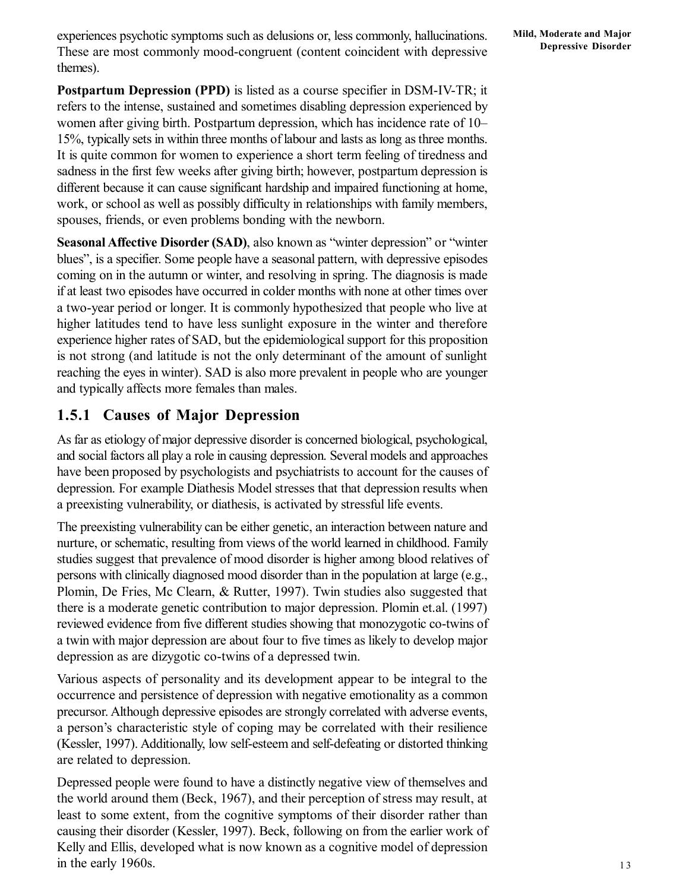experiences psychotic symptoms such as delusions or, less commonly, hallucinations. These are most commonly mood-congruent (content coincident with depressive themes).

**Postpartum Depression (PPD)** is listed as a course specifier in DSM-IV-TR; it refers to the intense, sustained and sometimes disabling depression experienced by women after giving birth. Postpartum depression, which has incidence rate of 10– 15%, typically sets in within three months of labour and lasts as long as three months. It is quite common for women to experience a short term feeling of tiredness and sadness in the first few weeks after giving birth; however, postpartum depression is different because it can cause significant hardship and impaired functioning at home, work, or school as well as possibly difficulty in relationships with family members, spouses, friends, or even problems bonding with the newborn.

**Seasonal Affective Disorder (SAD)**, also known as "winter depression" or "winter blues", is a specifier. Some people have a seasonal pattern, with depressive episodes coming on in the autumn or winter, and resolving in spring. The diagnosis is made if at least two episodes have occurred in colder months with none at other times over a two-year period or longer. It is commonly hypothesized that people who live at higher latitudes tend to have less sunlight exposure in the winter and therefore experience higher rates of SAD, but the epidemiological support for this proposition is not strong (and latitude is not the only determinant of the amount of sunlight reaching the eyes in winter). SAD is also more prevalent in people who are younger and typically affects more females than males.

### **1.5.1 Causes of Major Depression**

As far as etiology of major depressive disorder is concerned biological, psychological, and social factors all play a role in causing depression. Several models and approaches have been proposed by psychologists and psychiatrists to account for the causes of depression. For example Diathesis Model stresses that that depression results when a preexisting vulnerability, or diathesis, is activated by stressful life events.

The preexisting vulnerability can be either genetic, an interaction between nature and nurture, or schematic, resulting from views of the world learned in childhood. Family studies suggest that prevalence of mood disorder is higher among blood relatives of persons with clinically diagnosed mood disorder than in the population at large (e.g., Plomin, De Fries, Mc Clearn, & Rutter, 1997). Twin studies also suggested that there is a moderate genetic contribution to major depression. Plomin et.al. (1997) reviewed evidence from five different studies showing that monozygotic co-twins of a twin with major depression are about four to five times as likely to develop major depression as are dizygotic co-twins of a depressed twin.

Various aspects of personality and its development appear to be integral to the occurrence and persistence of depression with negative emotionality as a common precursor. Although depressive episodes are strongly correlated with adverse events, a person's characteristic style of coping may be correlated with their resilience (Kessler, 1997). Additionally, low self-esteem and self-defeating or distorted thinking are related to depression.

Depressed people were found to have a distinctly negative view of themselves and the world around them (Beck, 1967), and their perception of stress may result, at least to some extent, from the cognitive symptoms of their disorder rather than causing their disorder (Kessler, 1997). Beck, following on from the earlier work of Kelly and Ellis, developed what is now known as a cognitive model of depression in the early 1960s.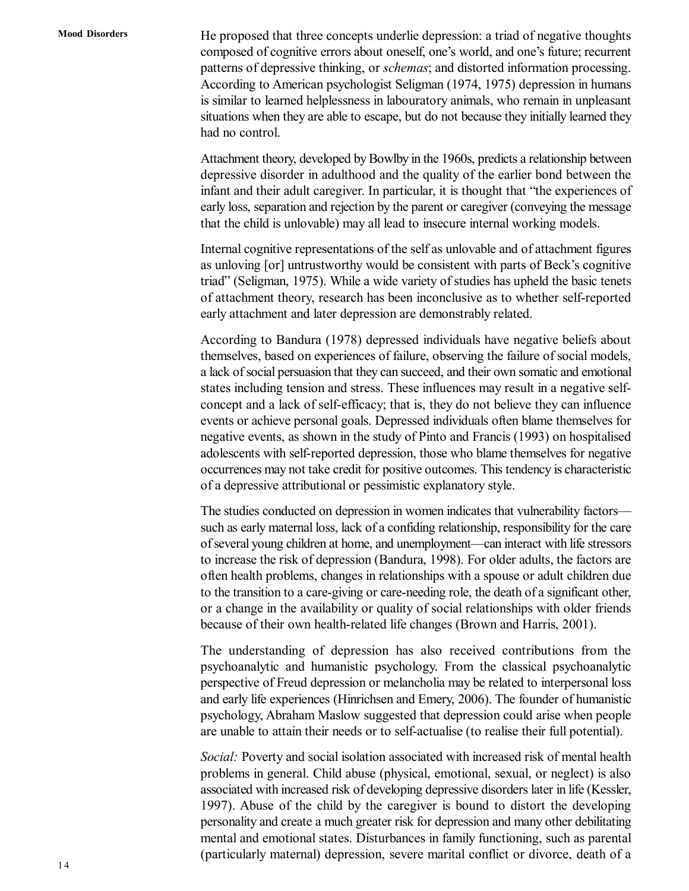He proposed that three concepts underlie depression: a triad of negative thoughts composed of cognitive errors about oneself, one's world, and one's future; recurrent patterns of depressive thinking, or *schemas*; and distorted information processing. According to American psychologist Seligman (1974, 1975) depression in humans is similar to learned helplessness in labouratory animals, who remain in unpleasant situations when they are able to escape, but do not because they initially learned they had no control.

Attachment theory, developed by Bowlby in the 1960s, predicts a relationship between depressive disorder in adulthood and the quality of the earlier bond between the infant and their adult caregiver. In particular, it is thought that "the experiences of early loss, separation and rejection by the parent or caregiver (conveying the message that the child is unlovable) may all lead to insecure internal working models.

Internal cognitive representations of the self as unlovable and of attachment figures as unloving [or] untrustworthy would be consistent with parts of Beck's cognitive triad" (Seligman, 1975). While a wide variety of studies has upheld the basic tenets of attachment theory, research has been inconclusive as to whether self-reported early attachment and later depression are demonstrably related.

According to Bandura (1978) depressed individuals have negative beliefs about themselves, based on experiences of failure, observing the failure of social models, a lack of social persuasion that they can succeed, and their own somatic and emotional states including tension and stress. These influences may result in a negative selfconcept and a lack of self-efficacy; that is, they do not believe they can influence events or achieve personal goals. Depressed individuals often blame themselves for negative events, as shown in the study of Pinto and Francis (1993) on hospitalised adolescents with self-reported depression, those who blame themselves for negative occurrences may not take credit for positive outcomes. This tendency is characteristic of a depressive attributional or pessimistic explanatory style.

The studies conducted on depression in women indicates that vulnerability factors such as early maternal loss, lack of a confiding relationship, responsibility for the care of several young children at home, and unemployment—can interact with life stressors to increase the risk of depression (Bandura, 1998). For older adults, the factors are often health problems, changes in relationships with a spouse or adult children due to the transition to a care-giving or care-needing role, the death of a significant other, or a change in the availability or quality of social relationships with older friends because of their own health-related life changes (Brown and Harris, 2001).

The understanding of depression has also received contributions from the psychoanalytic and humanistic psychology. From the classical psychoanalytic perspective of Freud depression or melancholia may be related to interpersonal loss and early life experiences (Hinrichsen and Emery, 2006). The founder of humanistic psychology, Abraham Maslow suggested that depression could arise when people are unable to attain their needs or to self-actualise (to realise their full potential).

*Social:* Poverty and social isolation associated with increased risk of mental health problems in general. Child abuse (physical, emotional, sexual, or neglect) is also associated with increased risk of developing depressive disorders later in life (Kessler, 1997). Abuse of the child by the caregiver is bound to distort the developing personality and create a much greater risk for depression and many other debilitating mental and emotional states. Disturbances in family functioning, such as parental (particularly maternal) depression, severe marital conflict or divorce, death of a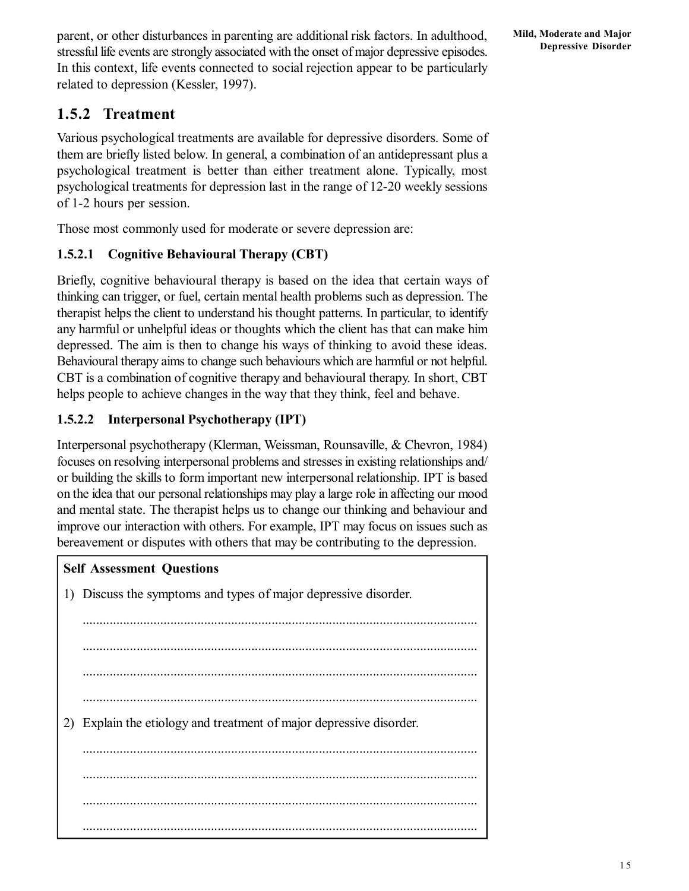parent, or other disturbances in parenting are additional risk factors. In adulthood, stressful life events are strongly associated with the onset of major depressive episodes. In this context, life events connected to social rejection appear to be particularly related to depression (Kessler, 1997).

### **1.5.2 Treatment**

Various psychological treatments are available for depressive disorders. Some of them are briefly listed below. In general, a combination of an antidepressant plus a psychological treatment is better than either treatment alone. Typically, most psychological treatments for depression last in the range of 12-20 weekly sessions of 1-2 hours per session.

Those most commonly used for moderate or severe depression are:

### **1.5.2.1 Cognitive Behavioural Therapy (CBT)**

Briefly, cognitive behavioural therapy is based on the idea that certain ways of thinking can trigger, or fuel, certain mental health problems such as depression. The therapist helps the client to understand his thought patterns. In particular, to identify any harmful or unhelpful ideas or thoughts which the client has that can make him depressed. The aim is then to change his ways of thinking to avoid these ideas. Behavioural therapy aims to change such behaviours which are harmful or not helpful. CBT is a combination of cognitive therapy and behavioural therapy. In short, CBT helps people to achieve changes in the way that they think, feel and behave.

### **1.5.2.2 Interpersonal Psychotherapy (IPT)**

Interpersonal psychotherapy (Klerman, Weissman, Rounsaville, & Chevron, 1984) focuses on resolving interpersonal problems and stresses in existing relationships and/ or building the skills to form important new interpersonal relationship. IPT is based on the idea that our personal relationships may play a large role in affecting our mood and mental state. The therapist helps us to change our thinking and behaviour and improve our interaction with others. For example, IPT may focus on issues such as bereavement or disputes with others that may be contributing to the depression.

| <b>Self Assessment Questions</b> |                                                                  |  |  |  |
|----------------------------------|------------------------------------------------------------------|--|--|--|
|                                  | 1) Discuss the symptoms and types of major depressive disorder.  |  |  |  |
|                                  |                                                                  |  |  |  |
|                                  |                                                                  |  |  |  |
|                                  |                                                                  |  |  |  |
|                                  |                                                                  |  |  |  |
| 2)                               | Explain the etiology and treatment of major depressive disorder. |  |  |  |
|                                  |                                                                  |  |  |  |
|                                  |                                                                  |  |  |  |
|                                  |                                                                  |  |  |  |
|                                  |                                                                  |  |  |  |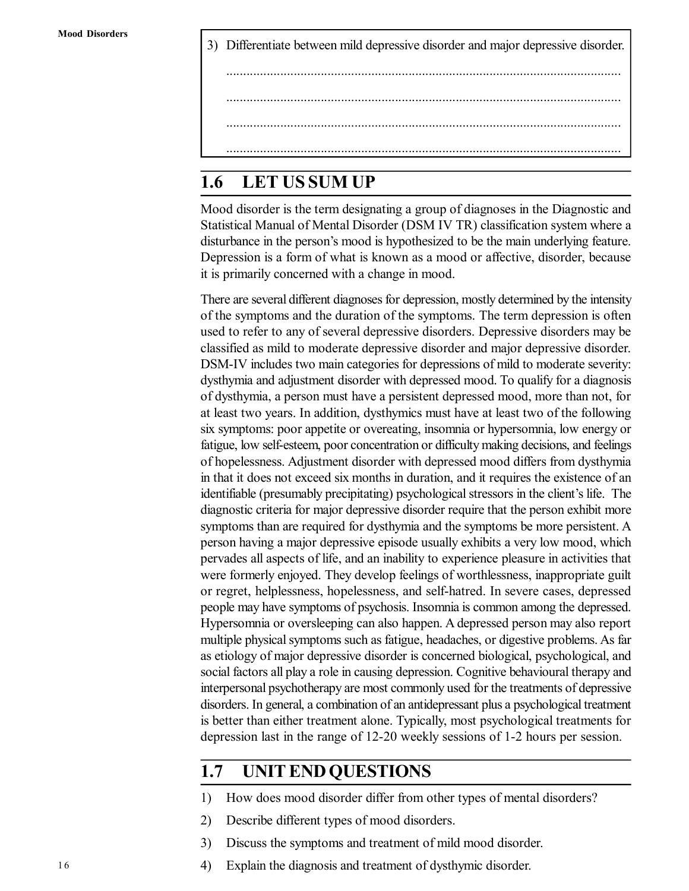3) Differentiate between mild depressive disorder and major depressive disorder. ..................................................................................................................... ..................................................................................................................... ..................................................................................................................... .....................................................................................................................

# **1.6 LET US SUM UP**

Mood disorder is the term designating a group of diagnoses in the Diagnostic and Statistical Manual of Mental Disorder (DSM IV TR) classification system where a disturbance in the person's mood is hypothesized to be the main underlying feature. Depression is a form of what is known as a mood or affective, disorder, because it is primarily concerned with a change in mood.

There are several different diagnoses for depression, mostly determined by the intensity of the symptoms and the duration of the symptoms. The term depression is often used to refer to any of several depressive disorders. Depressive disorders may be classified as mild to moderate depressive disorder and major depressive disorder. DSM-IV includes two main categories for depressions of mild to moderate severity: dysthymia and adjustment disorder with depressed mood. To qualify for a diagnosis of dysthymia, a person must have a persistent depressed mood, more than not, for at least two years. In addition, dysthymics must have at least two of the following six symptoms: poor appetite or overeating, insomnia or hypersomnia, low energy or fatigue, low self-esteem, poor concentration or difficulty making decisions, and feelings of hopelessness. Adjustment disorder with depressed mood differs from dysthymia in that it does not exceed six months in duration, and it requires the existence of an identifiable (presumably precipitating) psychological stressors in the client's life. The diagnostic criteria for major depressive disorder require that the person exhibit more symptoms than are required for dysthymia and the symptoms be more persistent. A person having a major depressive episode usually exhibits a very low mood, which pervades all aspects of life, and an inability to experience pleasure in activities that were formerly enjoyed. They develop feelings of worthlessness, inappropriate guilt or regret, helplessness, hopelessness, and self-hatred. In severe cases, depressed people may have symptoms of psychosis. Insomnia is common among the depressed. Hypersomnia or oversleeping can also happen. A depressed person may also report multiple physical symptoms such as fatigue, headaches, or digestive problems. As far as etiology of major depressive disorder is concerned biological, psychological, and social factors all play a role in causing depression. Cognitive behavioural therapy and interpersonal psychotherapy are most commonly used for the treatments of depressive disorders. In general, a combination of an antidepressant plus a psychological treatment is better than either treatment alone. Typically, most psychological treatments for depression last in the range of 12-20 weekly sessions of 1-2 hours per session.

## **1.7 UNIT END QUESTIONS**

- 1) How does mood disorder differ from other types of mental disorders?
- 2) Describe different types of mood disorders.
- 3) Discuss the symptoms and treatment of mild mood disorder.
- 4) Explain the diagnosis and treatment of dysthymic disorder.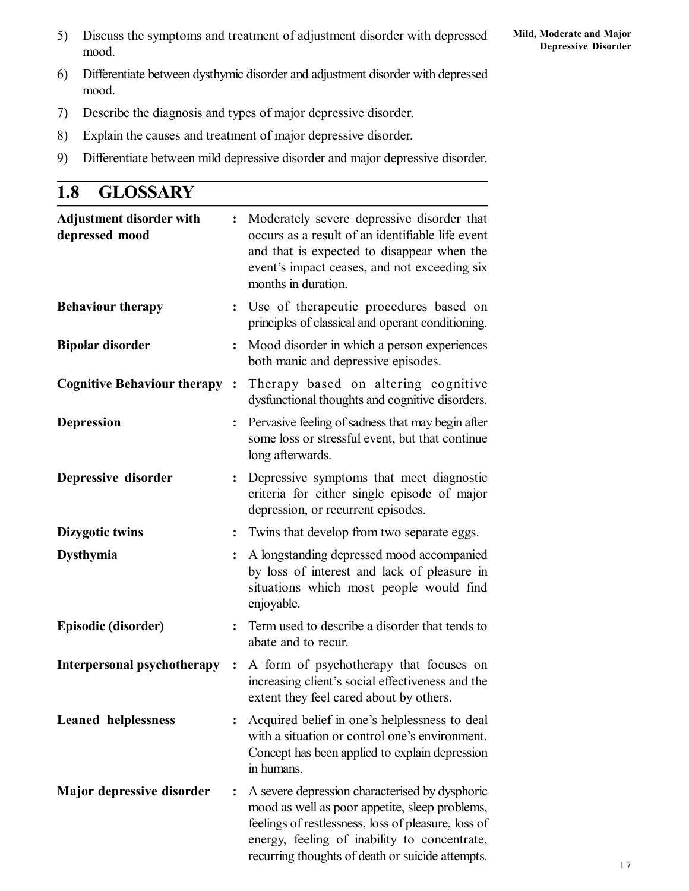- 6) Differentiate between dysthymic disorder and adjustment disorder with depressed mood.
- 7) Describe the diagnosis and types of major depressive disorder.
- 8) Explain the causes and treatment of major depressive disorder.
- 9) Differentiate between mild depressive disorder and major depressive disorder.

| 1.8 | <b>GLOSSARY</b> |
|-----|-----------------|
|-----|-----------------|

| <b>Adjustment disorder with</b><br>depressed mood | $\ddot{\cdot}$          | Moderately severe depressive disorder that<br>occurs as a result of an identifiable life event<br>and that is expected to disappear when the<br>event's impact ceases, and not exceeding six<br>months in duration.                                         |
|---------------------------------------------------|-------------------------|-------------------------------------------------------------------------------------------------------------------------------------------------------------------------------------------------------------------------------------------------------------|
| <b>Behaviour therapy</b>                          |                         | : Use of therapeutic procedures based on<br>principles of classical and operant conditioning.                                                                                                                                                               |
| <b>Bipolar disorder</b>                           | $\ddot{\cdot}$          | Mood disorder in which a person experiences<br>both manic and depressive episodes.                                                                                                                                                                          |
| <b>Cognitive Behaviour therapy:</b>               |                         | Therapy based on altering cognitive<br>dysfunctional thoughts and cognitive disorders.                                                                                                                                                                      |
| <b>Depression</b>                                 |                         | Pervasive feeling of sadness that may begin after<br>some loss or stressful event, but that continue<br>long afterwards.                                                                                                                                    |
| Depressive disorder                               | : $\hfill \blacksquare$ | Depressive symptoms that meet diagnostic<br>criteria for either single episode of major<br>depression, or recurrent episodes.                                                                                                                               |
| Dizygotic twins                                   | $\ddot{\cdot}$          | Twins that develop from two separate eggs.                                                                                                                                                                                                                  |
| <b>Dysthymia</b>                                  |                         | A longstanding depressed mood accompanied<br>by loss of interest and lack of pleasure in<br>situations which most people would find<br>enjoyable.                                                                                                           |
| Episodic (disorder)                               |                         | Term used to describe a disorder that tends to<br>abate and to recur.                                                                                                                                                                                       |
| Interpersonal psychotherapy :                     |                         | A form of psychotherapy that focuses on<br>increasing client's social effectiveness and the<br>extent they feel cared about by others.                                                                                                                      |
| <b>Leaned helplessness</b>                        |                         | Acquired belief in one's helplessness to deal<br>with a situation or control one's environment.<br>Concept has been applied to explain depression<br>in humans.                                                                                             |
| Major depressive disorder                         | $\ddot{\cdot}$          | A severe depression characterised by dysphoric<br>mood as well as poor appetite, sleep problems,<br>feelings of restlessness, loss of pleasure, loss of<br>energy, feeling of inability to concentrate,<br>recurring thoughts of death or suicide attempts. |